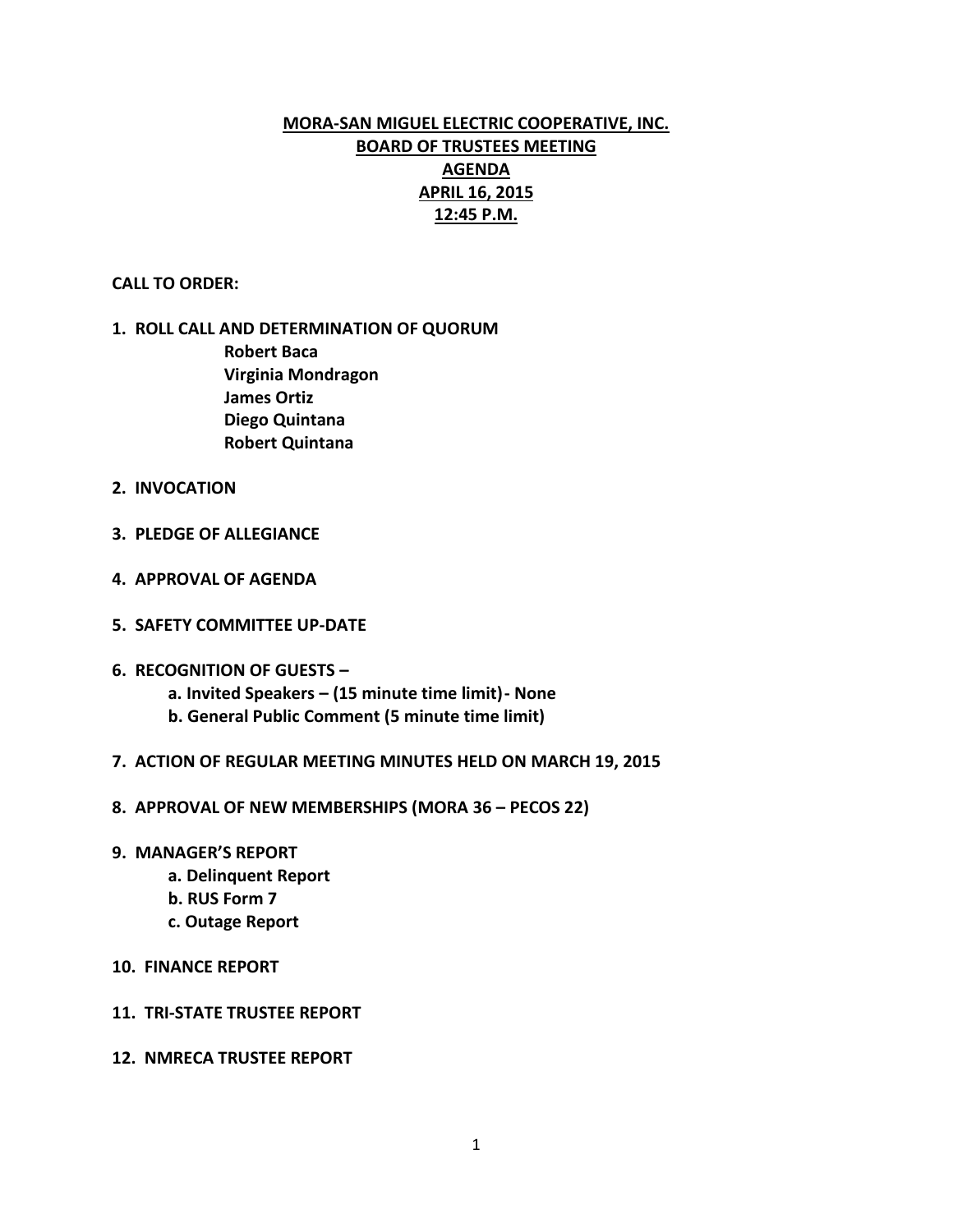# **MORA-SAN MIGUEL ELECTRIC COOPERATIVE, INC. BOARD OF TRUSTEES MEETING AGENDA APRIL 16, 2015 12:45 P.M.**

### **CALL TO ORDER:**

## **1. ROLL CALL AND DETERMINATION OF QUORUM Robert Baca Virginia Mondragon James Ortiz Diego Quintana Robert Quintana**

- **2. INVOCATION**
- **3. PLEDGE OF ALLEGIANCE**
- **4. APPROVAL OF AGENDA**
- **5. SAFETY COMMITTEE UP-DATE**
- **6. RECOGNITION OF GUESTS –**
	- **a. Invited Speakers – (15 minute time limit)- None**
	- **b. General Public Comment (5 minute time limit)**
- **7. ACTION OF REGULAR MEETING MINUTES HELD ON MARCH 19, 2015**
- **8. APPROVAL OF NEW MEMBERSHIPS (MORA 36 – PECOS 22)**
- **9. MANAGER'S REPORT**
	- **a. Delinquent Report**
	- **b. RUS Form 7**
	- **c. Outage Report**
- **10. FINANCE REPORT**
- **11. TRI-STATE TRUSTEE REPORT**
- **12. NMRECA TRUSTEE REPORT**